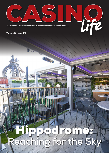

**PORT** 

N

## Hippodrome: **Reaching for the Sky**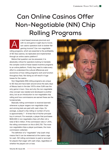## **Can Online Casinos Offer Non-Negotiable (NN) Chip Rolling Programs**

s land based revenues plummet and with no end game in sight due to Covid, can casino operators look to bolster flat gaming income? Can non-negotiable rolling programs, which are essential to the profitability of SE Asia casinos, be replicated and implemented A

through an online casino platform?

Before that question can be answered, it is absolutely critical for operators looking to translate the complex world of Asian based incentive programs to an online platform. Firstly they need to make every effort to understand the cultural differences and economics of how rolling programs work and function throughout Asia. Not doing so will result in huge losses for the casino.

Non-Negotiable (NN) rolling programs are unique to SE Asia and have been around since the early days of Macau back in the late 1970's when SJM was the only game in town. How and why the non-negotiable chip concept was needed and developed is another story, but as an introduction to non-negotiable chip rolling and how commissions are earned these are the fundamentals.

Basically rolling commission is received (earned) whenever a player wagers non-negotiable chips and winning bets are paid with cash chips. On average, a player's chip rolling or number of turns is approximately 7 - 8 times that of his/her principle buy-in amount. For example, a player that purchases \$500,000 in non-negotiable chips will often roll a total of \$3.5 million. If the commission rate is 1.25%, the rolling commission on this is \$43,750. The more non-negotiable chips a player purchases, the more commission collected.

The definition of a "negotiable" chip (cash chip) means that it can be redeemed at the casino cage for cash. NO rolling commission is paid or accrued for players that wager with cash chips, regardless of whether the players win or lose.